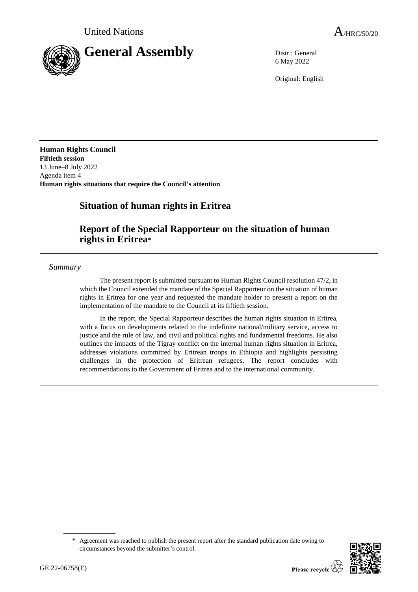

6 May 2022

Original: English

**Human Rights Council Fiftieth session** 13 June–8 July 2022 Agenda item 4 **Human rights situations that require the Council's attention**

# **Situation of human rights in Eritrea**

# **Report of the Special Rapporteur on the situation of human rights in Eritrea**\*

*Summary*

The present report is submitted pursuant to Human Rights Council resolution 47/2, in which the Council extended the mandate of the Special Rapporteur on the situation of human rights in Eritrea for one year and requested the mandate holder to present a report on the implementation of the mandate to the Council at its fiftieth session.

In the report, the Special Rapporteur describes the human rights situation in Eritrea, with a focus on developments related to the indefinite national/military service, access to justice and the rule of law, and civil and political rights and fundamental freedoms. He also outlines the impacts of the Tigray conflict on the internal human rights situation in Eritrea, addresses violations committed by Eritrean troops in Ethiopia and highlights persisting challenges in the protection of Eritrean refugees. The report concludes with recommendations to the Government of Eritrea and to the international community.

<sup>\*</sup> Agreement was reached to publish the present report after the standard publication date owing to circumstances beyond the submitter's control.

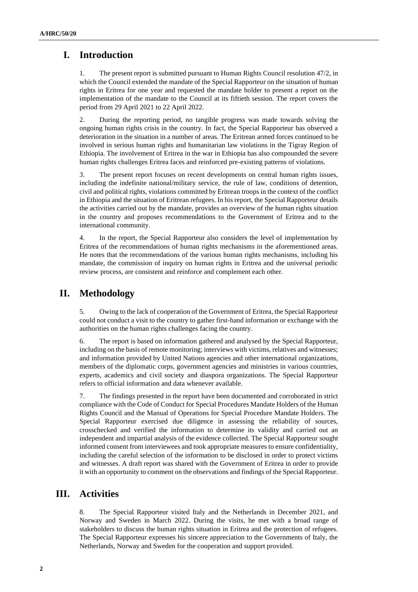# **I. Introduction**

1. The present report is submitted pursuant to Human Rights Council resolution 47/2, in which the Council extended the mandate of the Special Rapporteur on the situation of human rights in Eritrea for one year and requested the mandate holder to present a report on the implementation of the mandate to the Council at its fiftieth session. The report covers the period from 29 April 2021 to 22 April 2022.

2. During the reporting period, no tangible progress was made towards solving the ongoing human rights crisis in the country. In fact, the Special Rapporteur has observed a deterioration in the situation in a number of areas. The Eritrean armed forces continued to be involved in serious human rights and humanitarian law violations in the Tigray Region of Ethiopia. The involvement of Eritrea in the war in Ethiopia has also compounded the severe human rights challenges Eritrea faces and reinforced pre-existing patterns of violations.

3. The present report focuses on recent developments on central human rights issues, including the indefinite national/military service, the rule of law, conditions of detention, civil and political rights, violations committed by Eritrean troops in the context of the conflict in Ethiopia and the situation of Eritrean refugees. In his report, the Special Rapporteur details the activities carried out by the mandate, provides an overview of the human rights situation in the country and proposes recommendations to the Government of Eritrea and to the international community.

4. In the report, the Special Rapporteur also considers the level of implementation by Eritrea of the recommendations of human rights mechanisms in the aforementioned areas. He notes that the recommendations of the various human rights mechanisms, including his mandate, the commission of inquiry on human rights in Eritrea and the universal periodic review process, are consistent and reinforce and complement each other.

# **II. Methodology**

5. Owing to the lack of cooperation of the Government of Eritrea, the Special Rapporteur could not conduct a visit to the country to gather first-hand information or exchange with the authorities on the human rights challenges facing the country.

6. The report is based on information gathered and analysed by the Special Rapporteur, including on the basis of remote monitoring; interviews with victims, relatives and witnesses; and information provided by United Nations agencies and other international organizations, members of the diplomatic corps, government agencies and ministries in various countries, experts, academics and civil society and diaspora organizations. The Special Rapporteur refers to official information and data whenever available.

7. The findings presented in the report have been documented and corroborated in strict compliance with the Code of Conduct for Special Procedures Mandate Holders of the Human Rights Council and the Manual of Operations for Special Procedure Mandate Holders. The Special Rapporteur exercised due diligence in assessing the reliability of sources, crosschecked and verified the information to determine its validity and carried out an independent and impartial analysis of the evidence collected. The Special Rapporteur sought informed consent from interviewees and took appropriate measures to ensure confidentiality, including the careful selection of the information to be disclosed in order to protect victims and witnesses. A draft report was shared with the Government of Eritrea in order to provide it with an opportunity to comment on the observations and findings of the Special Rapporteur.

## **III. Activities**

8. The Special Rapporteur visited Italy and the Netherlands in December 2021, and Norway and Sweden in March 2022. During the visits, he met with a broad range of stakeholders to discuss the human rights situation in Eritrea and the protection of refugees. The Special Rapporteur expresses his sincere appreciation to the Governments of Italy, the Netherlands, Norway and Sweden for the cooperation and support provided.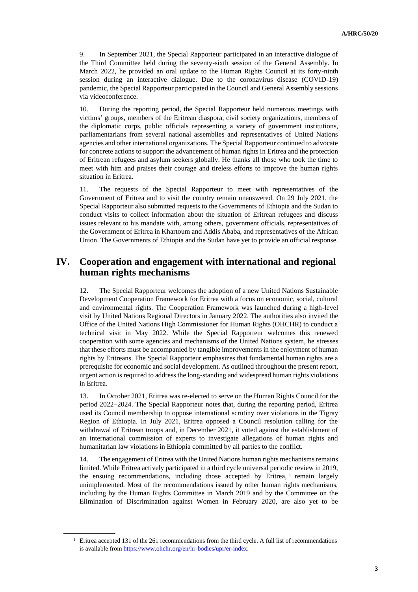9. In September 2021, the Special Rapporteur participated in an interactive dialogue of the Third Committee held during the seventy-sixth session of the General Assembly. In March 2022, he provided an oral update to the Human Rights Council at its forty-ninth session during an interactive dialogue. Due to the coronavirus disease (COVID-19) pandemic, the Special Rapporteur participated in the Council and General Assembly sessions via videoconference.

10. During the reporting period, the Special Rapporteur held numerous meetings with victims' groups, members of the Eritrean diaspora, civil society organizations, members of the diplomatic corps, public officials representing a variety of government institutions, parliamentarians from several national assemblies and representatives of United Nations agencies and other international organizations. The Special Rapporteur continued to advocate for concrete actions to support the advancement of human rights in Eritrea and the protection of Eritrean refugees and asylum seekers globally. He thanks all those who took the time to meet with him and praises their courage and tireless efforts to improve the human rights situation in Eritrea.

11. The requests of the Special Rapporteur to meet with representatives of the Government of Eritrea and to visit the country remain unanswered. On 29 July 2021, the Special Rapporteur also submitted requests to the Governments of Ethiopia and the Sudan to conduct visits to collect information about the situation of Eritrean refugees and discuss issues relevant to his mandate with, among others, government officials, representatives of the Government of Eritrea in Khartoum and Addis Ababa, and representatives of the African Union. The Governments of Ethiopia and the Sudan have yet to provide an official response.

## **IV. Cooperation and engagement with international and regional human rights mechanisms**

12. The Special Rapporteur welcomes the adoption of a new United Nations Sustainable Development Cooperation Framework for Eritrea with a focus on economic, social, cultural and environmental rights. The Cooperation Framework was launched during a high-level visit by United Nations Regional Directors in January 2022. The authorities also invited the Office of the United Nations High Commissioner for Human Rights (OHCHR) to conduct a technical visit in May 2022. While the Special Rapporteur welcomes this renewed cooperation with some agencies and mechanisms of the United Nations system, he stresses that these efforts must be accompanied by tangible improvements in the enjoyment of human rights by Eritreans. The Special Rapporteur emphasizes that fundamental human rights are a prerequisite for economic and social development. As outlined throughout the present report, urgent action is required to address the long-standing and widespread human rights violations in Eritrea.

13. In October 2021, Eritrea was re-elected to serve on the Human Rights Council for the period 2022–2024. The Special Rapporteur notes that, during the reporting period, Eritrea used its Council membership to oppose international scrutiny over violations in the Tigray Region of Ethiopia. In July 2021, Eritrea opposed a Council resolution calling for the withdrawal of Eritrean troops and, in December 2021, it voted against the establishment of an international commission of experts to investigate allegations of human rights and humanitarian law violations in Ethiopia committed by all parties to the conflict.

14. The engagement of Eritrea with the United Nations human rights mechanisms remains limited. While Eritrea actively participated in a third cycle universal periodic review in 2019, the ensuing recommendations, including those accepted by Eritrea, <sup>1</sup> remain largely unimplemented. Most of the recommendations issued by other human rights mechanisms, including by the Human Rights Committee in March 2019 and by the Committee on the Elimination of Discrimination against Women in February 2020, are also yet to be

<sup>&</sup>lt;sup>1</sup> Eritrea accepted 131 of the 261 recommendations from the third cycle. A full list of recommendations is available from [https://www.ohchr.org/en/hr-bodies/upr/er-index.](https://www.ohchr.org/en/hr-bodies/upr/er-index)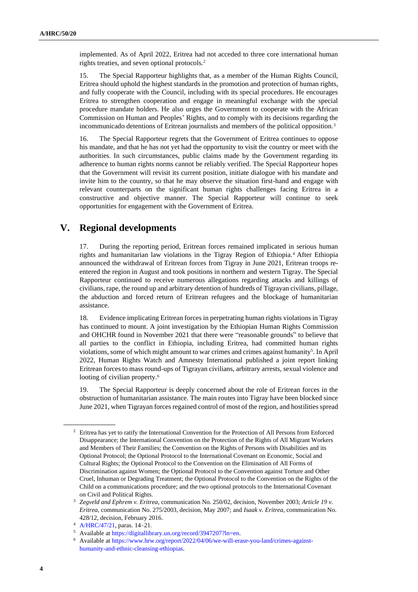implemented. As of April 2022, Eritrea had not acceded to three core international human rights treaties, and seven optional protocols.<sup>2</sup>

15. The Special Rapporteur highlights that, as a member of the Human Rights Council, Eritrea should uphold the highest standards in the promotion and protection of human rights, and fully cooperate with the Council, including with its special procedures. He encourages Eritrea to strengthen cooperation and engage in meaningful exchange with the special procedure mandate holders. He also urges the Government to cooperate with the African Commission on Human and Peoples' Rights, and to comply with its decisions regarding the incommunicado detentions of Eritrean journalists and members of the political opposition.<sup>3</sup>

16. The Special Rapporteur regrets that the Government of Eritrea continues to oppose his mandate, and that he has not yet had the opportunity to visit the country or meet with the authorities. In such circumstances, public claims made by the Government regarding its adherence to human rights norms cannot be reliably verified. The Special Rapporteur hopes that the Government will revisit its current position, initiate dialogue with his mandate and invite him to the country, so that he may observe the situation first-hand and engage with relevant counterparts on the significant human rights challenges facing Eritrea in a constructive and objective manner. The Special Rapporteur will continue to seek opportunities for engagement with the Government of Eritrea.

## **V. Regional developments**

17. During the reporting period, Eritrean forces remained implicated in serious human rights and humanitarian law violations in the Tigray Region of Ethiopia.<sup>4</sup> After Ethiopia announced the withdrawal of Eritrean forces from Tigray in June 2021, Eritrean troops reentered the region in August and took positions in northern and western Tigray. The Special Rapporteur continued to receive numerous allegations regarding attacks and killings of civilians, rape, the round up and arbitrary detention of hundreds of Tigrayan civilians, pillage, the abduction and forced return of Eritrean refugees and the blockage of humanitarian assistance.

18. Evidence implicating Eritrean forces in perpetrating human rights violations in Tigray has continued to mount. A joint investigation by the Ethiopian Human Rights Commission and OHCHR found in November 2021 that there were "reasonable grounds" to believe that all parties to the conflict in Ethiopia, including Eritrea, had committed human rights violations, some of which might amount to war crimes and crimes against humanity<sup>5</sup>. In April 2022, Human Rights Watch and Amnesty International published a joint report linking Eritrean forces to mass round-ups of Tigrayan civilians, arbitrary arrests, sexual violence and looting of civilian property.<sup>6</sup>

19. The Special Rapporteur is deeply concerned about the role of Eritrean forces in the obstruction of humanitarian assistance. The main routes into Tigray have been blocked since June 2021, when Tigrayan forces regained control of most of the region, and hostilities spread

<sup>2</sup> Eritrea has yet to ratify the International Convention for the Protection of All Persons from Enforced Disappearance; the International Convention on the Protection of the Rights of All Migrant Workers and Members of Their Families; the Convention on the Rights of Persons with Disabilities and its Optional Protocol; the Optional Protocol to the International Covenant on Economic, Social and Cultural Rights; the Optional Protocol to the Convention on the Elimination of All Forms of Discrimination against Women; the Optional Protocol to the Convention against Torture and Other Cruel, Inhuman or Degrading Treatment; the Optional Protocol to the Convention on the Rights of the Child on a communications procedure; and the two optional protocols to the International Covenant on Civil and Political Rights.

<sup>3</sup> *Zegveld and Ephrem v. Eritrea*, communication No. 250/02, decision, November 2003; *Article 19 v. Eritrea*, communication No. 275/2003, decision, May 2007; and *Isaak v. Eritrea*, communication No. 428/12, decision, February 2016.

<sup>4</sup> [A/HRC/47/21,](http://undocs.org/en/A/HRC/47/21) paras. 14–21.

<sup>5</sup> Available a[t https://digitallibrary.un.org/record/3947207?ln=en.](https://digitallibrary.un.org/record/3947207?ln=en)

<sup>6</sup> Available a[t https://www.hrw.org/report/2022/04/06/we-will-erase-you-land/crimes-against](https://www.hrw.org/report/2022/04/06/we-will-erase-you-land/crimes-against-humanity-and-ethnic-cleansing-ethiopias)[humanity-and-ethnic-cleansing-ethiopias.](https://www.hrw.org/report/2022/04/06/we-will-erase-you-land/crimes-against-humanity-and-ethnic-cleansing-ethiopias)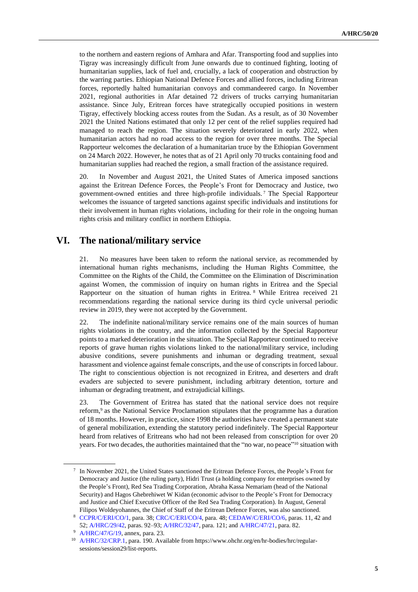to the northern and eastern regions of Amhara and Afar. Transporting food and supplies into Tigray was increasingly difficult from June onwards due to continued fighting, looting of humanitarian supplies, lack of fuel and, crucially, a lack of cooperation and obstruction by the warring parties. Ethiopian National Defence Forces and allied forces, including Eritrean forces, reportedly halted humanitarian convoys and commandeered cargo. In November 2021, regional authorities in Afar detained 72 drivers of trucks carrying humanitarian assistance. Since July, Eritrean forces have strategically occupied positions in western Tigray, effectively blocking access routes from the Sudan. As a result, as of 30 November 2021 the United Nations estimated that only 12 per cent of the relief supplies required had managed to reach the region. The situation severely deteriorated in early 2022, when humanitarian actors had no road access to the region for over three months. The Special Rapporteur welcomes the declaration of a humanitarian truce by the Ethiopian Government on 24 March 2022. However, he notes that as of 21 April only 70 trucks containing food and humanitarian supplies had reached the region, a small fraction of the assistance required.

20. In November and August 2021, the United States of America imposed sanctions against the Eritrean Defence Forces, the People's Front for Democracy and Justice, two government-owned entities and three high-profile individuals. <sup>7</sup> The Special Rapporteur welcomes the issuance of targeted sanctions against specific individuals and institutions for their involvement in human rights violations, including for their role in the ongoing human rights crisis and military conflict in northern Ethiopia.

### **VI. The national/military service**

21. No measures have been taken to reform the national service, as recommended by international human rights mechanisms, including the Human Rights Committee, the Committee on the Rights of the Child, the Committee on the Elimination of Discrimination against Women, the commission of inquiry on human rights in Eritrea and the Special Rapporteur on the situation of human rights in Eritrea. <sup>8</sup> While Eritrea received 21 recommendations regarding the national service during its third cycle universal periodic review in 2019, they were not accepted by the Government.

22. The indefinite national/military service remains one of the main sources of human rights violations in the country, and the information collected by the Special Rapporteur points to a marked deterioration in the situation. The Special Rapporteur continued to receive reports of grave human rights violations linked to the national/military service, including abusive conditions, severe punishments and inhuman or degrading treatment, sexual harassment and violence against female conscripts, and the use of conscripts in forced labour. The right to conscientious objection is not recognized in Eritrea, and deserters and draft evaders are subjected to severe punishment, including arbitrary detention, torture and inhuman or degrading treatment, and extrajudicial killings.

23. The Government of Eritrea has stated that the national service does not require reform,<sup>9</sup> as the National Service Proclamation stipulates that the programme has a duration of 18 months. However, in practice, since 1998 the authorities have created a permanent state of general mobilization, extending the statutory period indefinitely. The Special Rapporteur heard from relatives of Eritreans who had not been released from conscription for over 20 years. For two decades, the authorities maintained that the "no war, no peace"<sup>10</sup> situation with

<sup>7</sup> In November 2021, the United States sanctioned the Eritrean Defence Forces, the People's Front for Democracy and Justice (the ruling party), Hidri Trust (a holding company for enterprises owned by the People's Front), Red Sea Trading Corporation, Abraha Kassa Nemariam (head of the National Security) and Hagos Ghebrehiwet W Kidan (economic advisor to the People's Front for Democracy and Justice and Chief Executive Officer of the Red Sea Trading Corporation). In August, General Filipos Woldeyohannes, the Chief of Staff of the Eritrean Defence Forces, was also sanctioned.

<sup>8</sup> [CCPR/C/ERI/CO/1,](http://undocs.org/en/CCPR/C/ERI/CO/1) para. 38; [CRC/C/ERI/CO/4,](http://undocs.org/en/CRC/C/ERI/CO/4) para. 48; [CEDAW/C/ERI/CO/6,](http://undocs.org/en/CEDAW/C/ERI/CO/6) paras. 11, 42 and 52; [A/HRC/29/42,](http://undocs.org/en/A/HRC/29/42) paras. 92–93; [A/HRC/32/47,](https://undocs.org/en/A/HRC/32/47) para. 121; an[d A/HRC/47/21,](http://undocs.org/en/A/HRC/47/21) para. 82.

<sup>9</sup> [A/HRC/47/G/19,](http://undocs.org/en/A/HRC/47/G/19) annex, para. 23.

<sup>10</sup> [A/HRC/32/CRP.1,](http://undocs.org/en/A/HRC/32/CRP.1) para. 190. Available from https://www.ohchr.org/en/hr-bodies/hrc/regularsessions/session29/list-reports.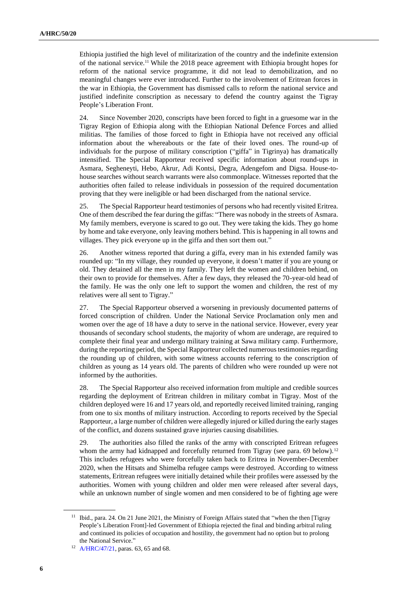Ethiopia justified the high level of militarization of the country and the indefinite extension of the national service.<sup>11</sup> While the 2018 peace agreement with Ethiopia brought hopes for reform of the national service programme, it did not lead to demobilization, and no meaningful changes were ever introduced. Further to the involvement of Eritrean forces in the war in Ethiopia, the Government has dismissed calls to reform the national service and justified indefinite conscription as necessary to defend the country against the Tigray People's Liberation Front.

24. Since November 2020, conscripts have been forced to fight in a gruesome war in the Tigray Region of Ethiopia along with the Ethiopian National Defence Forces and allied militias. The families of those forced to fight in Ethiopia have not received any official information about the whereabouts or the fate of their loved ones. The round-up of individuals for the purpose of military conscription ("giffa" in Tigrinya) has dramatically intensified. The Special Rapporteur received specific information about round-ups in Asmara, Segheneyti, Hebo, Akrur, Adi Kontsi, Degra, Adengefom and Digsa. House-tohouse searches without search warrants were also commonplace. Witnesses reported that the authorities often failed to release individuals in possession of the required documentation proving that they were ineligible or had been discharged from the national service.

25. The Special Rapporteur heard testimonies of persons who had recently visited Eritrea. One of them described the fear during the giffas: "There was nobody in the streets of Asmara. My family members, everyone is scared to go out. They were taking the kids. They go home by home and take everyone, only leaving mothers behind. This is happening in all towns and villages. They pick everyone up in the giffa and then sort them out."

26. Another witness reported that during a giffa, every man in his extended family was rounded up: "In my village, they rounded up everyone, it doesn't matter if you are young or old. They detained all the men in my family. They left the women and children behind, on their own to provide for themselves. After a few days, they released the 70-year-old head of the family. He was the only one left to support the women and children, the rest of my relatives were all sent to Tigray."

27. The Special Rapporteur observed a worsening in previously documented patterns of forced conscription of children. Under the National Service Proclamation only men and women over the age of 18 have a duty to serve in the national service. However, every year thousands of secondary school students, the majority of whom are underage, are required to complete their final year and undergo military training at Sawa military camp. Furthermore, during the reporting period, the Special Rapporteur collected numerous testimonies regarding the rounding up of children, with some witness accounts referring to the conscription of children as young as 14 years old. The parents of children who were rounded up were not informed by the authorities.

28. The Special Rapporteur also received information from multiple and credible sources regarding the deployment of Eritrean children in military combat in Tigray. Most of the children deployed were 16 and 17 years old, and reportedly received limited training, ranging from one to six months of military instruction. According to reports received by the Special Rapporteur, a large number of children were allegedly injured or killed during the early stages of the conflict, and dozens sustained grave injuries causing disabilities.

29. The authorities also filled the ranks of the army with conscripted Eritrean refugees whom the army had kidnapped and forcefully returned from Tigray (see para. 69 below).<sup>12</sup> This includes refugees who were forcefully taken back to Eritrea in November-December 2020, when the Hitsats and Shimelba refugee camps were destroyed. According to witness statements, Eritrean refugees were initially detained while their profiles were assessed by the authorities. Women with young children and older men were released after several days, while an unknown number of single women and men considered to be of fighting age were

<sup>&</sup>lt;sup>11</sup> Ibid., para. 24. On 21 June 2021, the Ministry of Foreign Affairs stated that "when the then [Tigray People's Liberation Front]-led Government of Ethiopia rejected the final and binding arbitral ruling and continued its policies of occupation and hostility, the government had no option but to prolong the National Service."

<sup>&</sup>lt;sup>12</sup> [A/HRC/47/21,](http://undocs.org/en/A/HRC/47/21) paras. 63, 65 and 68.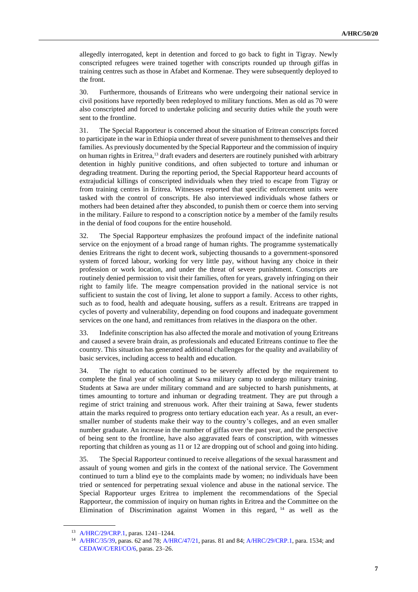allegedly interrogated, kept in detention and forced to go back to fight in Tigray. Newly conscripted refugees were trained together with conscripts rounded up through giffas in training centres such as those in Afabet and Kormenae. They were subsequently deployed to the front.

30. Furthermore, thousands of Eritreans who were undergoing their national service in civil positions have reportedly been redeployed to military functions. Men as old as 70 were also conscripted and forced to undertake policing and security duties while the youth were sent to the frontline.

31. The Special Rapporteur is concerned about the situation of Eritrean conscripts forced to participate in the war in Ethiopia under threat of severe punishment to themselves and their families. As previously documented by the Special Rapporteur and the commission of inquiry on human rights in Eritrea,<sup>13</sup> draft evaders and deserters are routinely punished with arbitrary detention in highly punitive conditions, and often subjected to torture and inhuman or degrading treatment. During the reporting period, the Special Rapporteur heard accounts of extrajudicial killings of conscripted individuals when they tried to escape from Tigray or from training centres in Eritrea. Witnesses reported that specific enforcement units were tasked with the control of conscripts. He also interviewed individuals whose fathers or mothers had been detained after they absconded, to punish them or coerce them into serving in the military. Failure to respond to a conscription notice by a member of the family results in the denial of food coupons for the entire household.

32. The Special Rapporteur emphasizes the profound impact of the indefinite national service on the enjoyment of a broad range of human rights. The programme systematically denies Eritreans the right to decent work, subjecting thousands to a government-sponsored system of forced labour, working for very little pay, without having any choice in their profession or work location, and under the threat of severe punishment. Conscripts are routinely denied permission to visit their families, often for years, gravely infringing on their right to family life. The meagre compensation provided in the national service is not sufficient to sustain the cost of living, let alone to support a family. Access to other rights, such as to food, health and adequate housing, suffers as a result. Eritreans are trapped in cycles of poverty and vulnerability, depending on food coupons and inadequate government services on the one hand, and remittances from relatives in the diaspora on the other.

33. Indefinite conscription has also affected the morale and motivation of young Eritreans and caused a severe brain drain, as professionals and educated Eritreans continue to flee the country. This situation has generated additional challenges for the quality and availability of basic services, including access to health and education.

34. The right to education continued to be severely affected by the requirement to complete the final year of schooling at Sawa military camp to undergo military training. Students at Sawa are under military command and are subjected to harsh punishments, at times amounting to torture and inhuman or degrading treatment. They are put through a regime of strict training and strenuous work. After their training at Sawa, fewer students attain the marks required to progress onto tertiary education each year. As a result, an eversmaller number of students make their way to the country's colleges, and an even smaller number graduate. An increase in the number of giffas over the past year, and the perspective of being sent to the frontline, have also aggravated fears of conscription, with witnesses reporting that children as young as 11 or 12 are dropping out of school and going into hiding.

35. The Special Rapporteur continued to receive allegations of the sexual harassment and assault of young women and girls in the context of the national service. The Government continued to turn a blind eye to the complaints made by women; no individuals have been tried or sentenced for perpetrating sexual violence and abuse in the national service. The Special Rapporteur urges Eritrea to implement the recommendations of the Special Rapporteur, the commission of inquiry on human rights in Eritrea and the Committee on the Elimination of Discrimination against Women in this regard, <sup>14</sup> as well as the

<sup>13</sup> [A/HRC/29/CRP.1,](http://undocs.org/en/A/HRC/29/CRP.1) paras. 1241–1244.

<sup>14</sup> [A/HRC/35/39,](http://undocs.org/en/A/HRC/35/39) paras. 62 and 78; [A/HRC/47/21,](http://undocs.org/en/A/HRC/47/21) paras. 81 and 84; [A/HRC/29/CRP.1,](http://undocs.org/en/A/HRC/29/CRP.1) para. 1534; and [CEDAW/C/ERI/CO/6,](http://undocs.org/en/CEDAW/C/ERI/CO/6) paras. 23–26.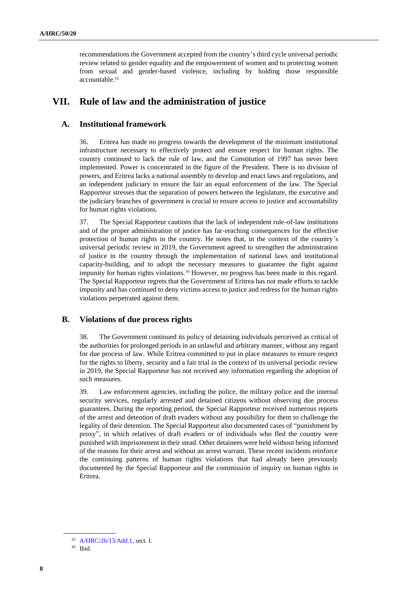recommendations the Government accepted from the country's third cycle universal periodic review related to gender equality and the empowerment of women and to protecting women from sexual and gender-based violence, including by holding those responsible accountable.<sup>15</sup>

## **VII. Rule of law and the administration of justice**

#### **A. Institutional framework**

36. Eritrea has made no progress towards the development of the minimum institutional infrastructure necessary to effectively protect and ensure respect for human rights. The country continued to lack the rule of law, and the Constitution of 1997 has never been implemented. Power is concentrated in the figure of the President. There is no division of powers, and Eritrea lacks a national assembly to develop and enact laws and regulations, and an independent judiciary to ensure the fair an equal enforcement of the law. The Special Rapporteur stresses that the separation of powers between the legislature, the executive and the judiciary branches of government is crucial to ensure access to justice and accountability for human rights violations.

37. The Special Rapporteur cautions that the lack of independent rule-of-law institutions and of the proper administration of justice has far-reaching consequences for the effective protection of human rights in the country. He notes that, in the context of the country's universal periodic review in 2019, the Government agreed to strengthen the administration of justice in the country through the implementation of national laws and institutional capacity-building, and to adopt the necessary measures to guarantee the fight against impunity for human rights violations.<sup>16</sup> However, no progress has been made in this regard. The Special Rapporteur regrets that the Government of Eritrea has not made efforts to tackle impunity and has continued to deny victims access to justice and redress for the human rights violations perpetrated against them.

#### **B. Violations of due process rights**

38. The Government continued its policy of detaining individuals perceived as critical of the authorities for prolonged periods in an unlawful and arbitrary manner, without any regard for due process of law. While Eritrea committed to put in place measures to ensure respect for the rights to liberty, security and a fair trial in the context of its universal periodic review in 2019, the Special Rapporteur has not received any information regarding the adoption of such measures.

39. Law enforcement agencies, including the police, the military police and the internal security services, regularly arrested and detained citizens without observing due process guarantees. During the reporting period, the Special Rapporteur received numerous reports of the arrest and detention of draft evaders without any possibility for them to challenge the legality of their detention. The Special Rapporteur also documented cases of "punishment by proxy", in which relatives of draft evaders or of individuals who fled the country were punished with imprisonment in their stead. Other detainees were held without being informed of the reasons for their arrest and without an arrest warrant. These recent incidents reinforce the continuing patterns of human rights violations that had already been previously documented by the Special Rapporteur and the commission of inquiry on human rights in Eritrea.

<sup>15</sup> [A/HRC/26/13/Add.1,](http://undocs.org/en/A/HRC/26/13/Add.1) sect. I.

<sup>16</sup> Ibid.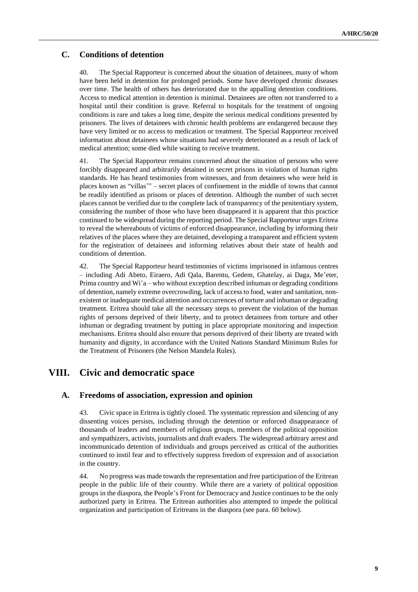### **C. Conditions of detention**

40. The Special Rapporteur is concerned about the situation of detainees, many of whom have been held in detention for prolonged periods. Some have developed chronic diseases over time. The health of others has deteriorated due to the appalling detention conditions. Access to medical attention in detention is minimal. Detainees are often not transferred to a hospital until their condition is grave. Referral to hospitals for the treatment of ongoing conditions is rare and takes a long time, despite the serious medical conditions presented by prisoners. The lives of detainees with chronic health problems are endangered because they have very limited or no access to medication or treatment. The Special Rapporteur received information about detainees whose situations had severely deteriorated as a result of lack of medical attention; some died while waiting to receive treatment.

41. The Special Rapporteur remains concerned about the situation of persons who were forcibly disappeared and arbitrarily detained in secret prisons in violation of human rights standards. He has heard testimonies from witnesses, and from detainees who were held in places known as "villas'" – secret places of confinement in the middle of towns that cannot be readily identified as prisons or places of detention. Although the number of such secret places cannot be verified due to the complete lack of transparency of the penitentiary system, considering the number of those who have been disappeared it is apparent that this practice continued to be widespread during the reporting period. The Special Rapporteur urges Eritrea to reveal the whereabouts of victims of enforced disappearance, including by informing their relatives of the places where they are detained, developing a transparent and efficient system for the registration of detainees and informing relatives about their state of health and conditions of detention.

42. The Special Rapporteur heard testimonies of victims imprisoned in infamous centres – including Adi Abeto, Eiraero, Adi Qala, Barentu, Gedem, Ghatelay, ai Daga, Me'eter, Prima country and Wi'a – who without exception described inhuman or degrading conditions of detention, namely extreme overcrowding, lack of access to food, water and sanitation, nonexistent or inadequate medical attention and occurrences of torture and inhuman or degrading treatment. Eritrea should take all the necessary steps to prevent the violation of the human rights of persons deprived of their liberty, and to protect detainees from torture and other inhuman or degrading treatment by putting in place appropriate monitoring and inspection mechanisms. Eritrea should also ensure that persons deprived of their liberty are treated with humanity and dignity, in accordance with the United Nations Standard Minimum Rules for the Treatment of Prisoners (the Nelson Mandela Rules).

## **VIII. Civic and democratic space**

#### **A. Freedoms of association, expression and opinion**

43. Civic space in Eritrea is tightly closed. The systematic repression and silencing of any dissenting voices persists, including through the detention or enforced disappearance of thousands of leaders and members of religious groups, members of the political opposition and sympathizers, activists, journalists and draft evaders. The widespread arbitrary arrest and incommunicado detention of individuals and groups perceived as critical of the authorities continued to instil fear and to effectively suppress freedom of expression and of association in the country.

44. No progress was made towards the representation and free participation of the Eritrean people in the public life of their country. While there are a variety of political opposition groups in the diaspora, the People's Front for Democracy and Justice continues to be the only authorized party in Eritrea. The Eritrean authorities also attempted to impede the political organization and participation of Eritreans in the diaspora (see para. 60 below).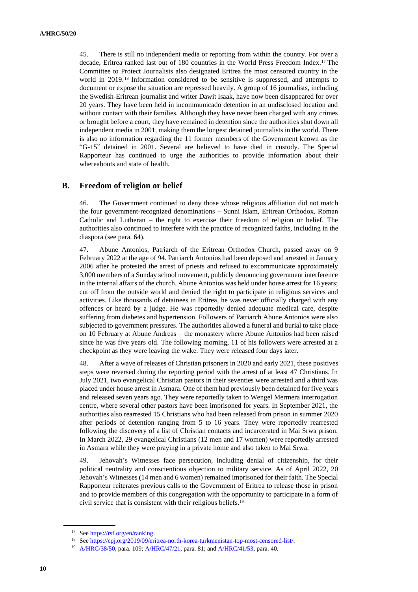45. There is still no independent media or reporting from within the country. For over a decade, Eritrea ranked last out of 180 countries in the World Press Freedom Index.<sup>17</sup> The Committee to Protect Journalists also designated Eritrea the most censored country in the world in 2019. <sup>18</sup> Information considered to be sensitive is suppressed, and attempts to document or expose the situation are repressed heavily. A group of 16 journalists, including the Swedish-Eritrean journalist and writer Dawit Isaak, have now been disappeared for over 20 years. They have been held in incommunicado detention in an undisclosed location and without contact with their families. Although they have never been charged with any crimes or brought before a court, they have remained in detention since the authorities shut down all independent media in 2001, making them the longest detained journalists in the world. There is also no information regarding the 11 former members of the Government known as the "G-15" detained in 2001. Several are believed to have died in custody. The Special Rapporteur has continued to urge the authorities to provide information about their whereabouts and state of health.

#### **B. Freedom of religion or belief**

46. The Government continued to deny those whose religious affiliation did not match the four government-recognized denominations – Sunni Islam, Eritrean Orthodox, Roman Catholic and Lutheran – the right to exercise their freedom of religion or belief. The authorities also continued to interfere with the practice of recognized faiths, including in the diaspora (see para. 64).

47. Abune Antonios, Patriarch of the Eritrean Orthodox Church, passed away on 9 February 2022 at the age of 94. Patriarch Antonios had been deposed and arrested in January 2006 after he protested the arrest of priests and refused to excommunicate approximately 3,000 members of a Sunday school movement, publicly denouncing government interference in the internal affairs of the church. Abune Antonios was held under house arrest for 16 years; cut off from the outside world and denied the right to participate in religious services and activities. Like thousands of detainees in Eritrea, he was never officially charged with any offences or heard by a judge. He was reportedly denied adequate medical care, despite suffering from diabetes and hypertension. Followers of Patriarch Abune Antonios were also subjected to government pressures. The authorities allowed a funeral and burial to take place on 10 February at Abune Andreas – the monastery where Abune Antonios had been raised since he was five years old. The following morning, 11 of his followers were arrested at a checkpoint as they were leaving the wake. They were released four days later.

48. After a wave of releases of Christian prisoners in 2020 and early 2021, these positives steps were reversed during the reporting period with the arrest of at least 47 Christians. In July 2021, two evangelical Christian pastors in their seventies were arrested and a third was placed under house arrest in Asmara. One of them had previously been detained for five years and released seven years ago. They were reportedly taken to Wengel Mermera interrogation centre, where several other pastors have been imprisoned for years. In September 2021, the authorities also rearrested 15 Christians who had been released from prison in summer 2020 after periods of detention ranging from 5 to 16 years. They were reportedly rearrested following the discovery of a list of Christian contacts and incarcerated in Mai Srwa prison. In March 2022, 29 evangelical Christians (12 men and 17 women) were reportedly arrested in Asmara while they were praying in a private home and also taken to Mai Srwa.

49. Jehovah's Witnesses face persecution, including denial of citizenship, for their political neutrality and conscientious objection to military service. As of April 2022, 20 Jehovah's Witnesses (14 men and 6 women) remained imprisoned for their faith. The Special Rapporteur reiterates previous calls to the Government of Eritrea to release those in prison and to provide members of this congregation with the opportunity to participate in a form of civil service that is consistent with their religious beliefs.<sup>19</sup>

<sup>17</sup> Se[e https://rsf.org/en/ranking.](https://rsf.org/en/ranking) 

<sup>18</sup> Se[e https://cpj.org/2019/09/eritrea-north-korea-turkmenistan-top-most-censored-list/.](https://cpj.org/2019/09/eritrea-north-korea-turkmenistan-top-most-censored-list/)

<sup>19</sup> [A/HRC/38/50,](http://undocs.org/en/A/HRC/38/50) para. 109[; A/HRC/47/21,](http://undocs.org/en/A/HRC/47/21) para. 81; an[d A/HRC/41/53,](http://undocs.org/en/A/HRC/41/53) para. 40.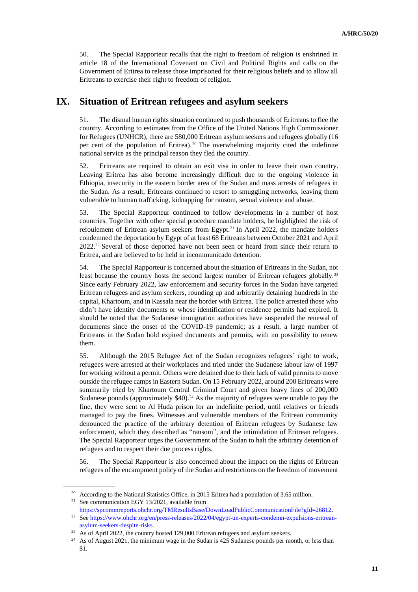50. The Special Rapporteur recalls that the right to freedom of religion is enshrined in article 18 of the International Covenant on Civil and Political Rights and calls on the Government of Eritrea to release those imprisoned for their religious beliefs and to allow all Eritreans to exercise their right to freedom of religion.

## **IX. Situation of Eritrean refugees and asylum seekers**

51. The dismal human rights situation continued to push thousands of Eritreans to flee the country. According to estimates from the Office of the United Nations High Commissioner for Refugees (UNHCR), there are 580,000 Eritrean asylum seekers and refugees globally (16 per cent of the population of Eritrea).<sup>20</sup> The overwhelming majority cited the indefinite national service as the principal reason they fled the country.

52. Eritreans are required to obtain an exit visa in order to leave their own country. Leaving Eritrea has also become increasingly difficult due to the ongoing violence in Ethiopia, insecurity in the eastern border area of the Sudan and mass arrests of refugees in the Sudan. As a result, Eritreans continued to resort to smuggling networks, leaving them vulnerable to human trafficking, kidnapping for ransom, sexual violence and abuse.

53. The Special Rapporteur continued to follow developments in a number of host countries. Together with other special procedure mandate holders, he highlighted the risk of refoulement of Eritrean asylum seekers from Egypt.<sup>21</sup> In April 2022, the mandate holders condemned the deportation by Egypt of at least 68 Eritreans between October 2021 and April 2022.<sup>22</sup> Several of those deported have not been seen or heard from since their return to Eritrea, and are believed to be held in incommunicado detention.

54. The Special Rapporteur is concerned about the situation of Eritreans in the Sudan, not least because the country hosts the second largest number of Eritrean refugees globally.<sup>23</sup> Since early February 2022, law enforcement and security forces in the Sudan have targeted Eritrean refugees and asylum seekers, rounding up and arbitrarily detaining hundreds in the capital, Khartoum, and in Kassala near the border with Eritrea. The police arrested those who didn't have identity documents or whose identification or residence permits had expired. It should be noted that the Sudanese immigration authorities have suspended the renewal of documents since the onset of the COVID-19 pandemic; as a result, a large number of Eritreans in the Sudan hold expired documents and permits, with no possibility to renew them.

55. Although the 2015 Refugee Act of the Sudan recognizes refugees' right to work, refugees were arrested at their workplaces and tried under the Sudanese labour law of 1997 for working without a permit. Others were detained due to their lack of valid permits to move outside the refugee camps in Eastern Sudan. On 15 February 2022, around 200 Eritreans were summarily tried by Khartoum Central Criminal Court and given heavy fines of 200,000 Sudanese pounds (approximately \$40).<sup>24</sup> As the majority of refugees were unable to pay the fine, they were sent to Al Huda prison for an indefinite period, until relatives or friends managed to pay the fines. Witnesses and vulnerable members of the Eritrean community denounced the practice of the arbitrary detention of Eritrean refugees by Sudanese law enforcement, which they described as "ransom", and the intimidation of Eritrean refugees. The Special Rapporteur urges the Government of the Sudan to halt the arbitrary detention of refugees and to respect their due process rights.

56. The Special Rapporteur is also concerned about the impact on the rights of Eritrean refugees of the encampment policy of the Sudan and restrictions on the freedom of movement

<sup>21</sup> See communication EGY 13/2021, available from

<sup>&</sup>lt;sup>20</sup> According to the National Statistics Office, in 2015 Eritrea had a population of 3.65 million.

[https://spcommreports.ohchr.org/TMResultsBase/DownLoadPublicCommunicationFile?gId=26812.](https://spcommreports.ohchr.org/TMResultsBase/DownLoadPublicCommunicationFile?gId=26812) 

<sup>22</sup> Se[e https://www.ohchr.org/en/press-releases/2022/04/egypt-un-experts-condemn-expulsions-eritrean](https://www.ohchr.org/en/press-releases/2022/04/egypt-un-experts-condemn-expulsions-eritrean-asylum-seekers-despite-risks)[asylum-seekers-despite-risks.](https://www.ohchr.org/en/press-releases/2022/04/egypt-un-experts-condemn-expulsions-eritrean-asylum-seekers-despite-risks) 

As of April 2022, the country hosted 129,000 Eritrean refugees and asylum seekers.

 $24$  As of August 2021, the minimum wage in the Sudan is 425 Sudanese pounds per month, or less than \$1.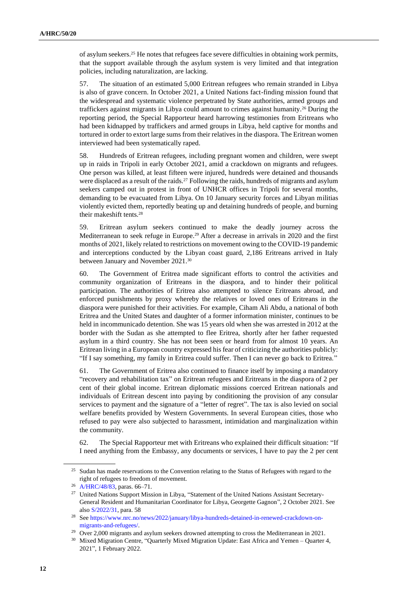of asylum seekers.<sup>25</sup> He notes that refugees face severe difficulties in obtaining work permits, that the support available through the asylum system is very limited and that integration policies, including naturalization, are lacking.

57. The situation of an estimated 5,000 Eritrean refugees who remain stranded in Libya is also of grave concern. In October 2021, a United Nations fact-finding mission found that the widespread and systematic violence perpetrated by State authorities, armed groups and traffickers against migrants in Libya could amount to crimes against humanity.<sup>26</sup> During the reporting period, the Special Rapporteur heard harrowing testimonies from Eritreans who had been kidnapped by traffickers and armed groups in Libya, held captive for months and tortured in order to extort large sums from their relatives in the diaspora. The Eritrean women interviewed had been systematically raped.

58. Hundreds of Eritrean refugees, including pregnant women and children, were swept up in raids in Tripoli in early October 2021, amid a crackdown on migrants and refugees. One person was killed, at least fifteen were injured, hundreds were detained and thousands were displaced as a result of the raids.<sup>27</sup> Following the raids, hundreds of migrants and asylum seekers camped out in protest in front of UNHCR offices in Tripoli for several months, demanding to be evacuated from Libya. On 10 January security forces and Libyan militias violently evicted them, reportedly beating up and detaining hundreds of people, and burning their makeshift tents.<sup>28</sup>

59. Eritrean asylum seekers continued to make the deadly journey across the Mediterranean to seek refuge in Europe.<sup>29</sup> After a decrease in arrivals in 2020 and the first months of 2021, likely related to restrictions on movement owing to the COVID-19 pandemic and interceptions conducted by the Libyan coast guard, 2,186 Eritreans arrived in Italy between January and November 2021.<sup>30</sup>

60. The Government of Eritrea made significant efforts to control the activities and community organization of Eritreans in the diaspora, and to hinder their political participation. The authorities of Eritrea also attempted to silence Eritreans abroad, and enforced punishments by proxy whereby the relatives or loved ones of Eritreans in the diaspora were punished for their activities. For example, Ciham Ali Abdu, a national of both Eritrea and the United States and daughter of a former information minister, continues to be held in incommunicado detention. She was 15 years old when she was arrested in 2012 at the border with the Sudan as she attempted to flee Eritrea, shortly after her father requested asylum in a third country. She has not been seen or heard from for almost 10 years. An Eritrean living in a European country expressed his fear of criticizing the authorities publicly: "If I say something, my family in Eritrea could suffer. Then I can never go back to Eritrea."

61. The Government of Eritrea also continued to finance itself by imposing a mandatory "recovery and rehabilitation tax" on Eritrean refugees and Eritreans in the diaspora of 2 per cent of their global income. Eritrean diplomatic missions coerced Eritrean nationals and individuals of Eritrean descent into paying by conditioning the provision of any consular services to payment and the signature of a "letter of regret". The tax is also levied on social welfare benefits provided by Western Governments. In several European cities, those who refused to pay were also subjected to harassment, intimidation and marginalization within the community.

62. The Special Rapporteur met with Eritreans who explained their difficult situation: "If I need anything from the Embassy, any documents or services, I have to pay the 2 per cent

<sup>&</sup>lt;sup>25</sup> Sudan has made reservations to the Convention relating to the Status of Refugees with regard to the right of refugees to freedom of movement.

<sup>26</sup> [A/HRC/48/83,](http://undocs.org/en/A/HRC/48/83) paras. 66–71.

<sup>&</sup>lt;sup>27</sup> United Nations Support Mission in Libya, "Statement of the United Nations Assistant Secretary-General Resident and Humanitarian Coordinator for Libya, Georgette Gagnon", 2 October 2021. See also [S/2022/31,](http://undocs.org/en/S/2022/31) para. 58

<sup>28</sup> Se[e https://www.nrc.no/news/2022/january/libya-hundreds-detained-in-renewed-crackdown-on](https://www.nrc.no/news/2022/january/libya-hundreds-detained-in-renewed-crackdown-on-migrants-and-refugees/)[migrants-and-refugees/.](https://www.nrc.no/news/2022/january/libya-hundreds-detained-in-renewed-crackdown-on-migrants-and-refugees/)

<sup>&</sup>lt;sup>29</sup> Over 2,000 migrants and asylum seekers drowned attempting to cross the Mediterranean in 2021.

<sup>&</sup>lt;sup>30</sup> Mixed Migration Centre, "Quarterly Mixed Migration Update: East Africa and Yemen – Quarter 4, 2021", 1 February 2022.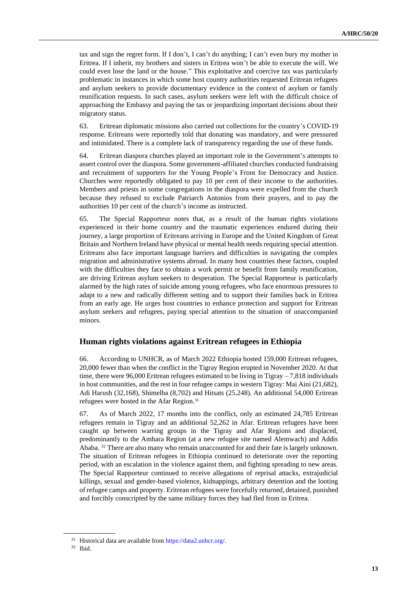tax and sign the regret form. If I don't, I can't do anything; I can't even bury my mother in Eritrea. If I inherit, my brothers and sisters in Eritrea won't be able to execute the will. We could even lose the land or the house." This exploitative and coercive tax was particularly problematic in instances in which some host country authorities requested Eritrean refugees and asylum seekers to provide documentary evidence in the context of asylum or family reunification requests. In such cases, asylum seekers were left with the difficult choice of approaching the Embassy and paying the tax or jeopardizing important decisions about their migratory status.

63. Eritrean diplomatic missions also carried out collections for the country's COVID-19 response. Eritreans were reportedly told that donating was mandatory, and were pressured and intimidated. There is a complete lack of transparency regarding the use of these funds.

64. Eritrean diaspora churches played an important role in the Government's attempts to assert control over the diaspora. Some government-affiliated churches conducted fundraising and recruitment of supporters for the Young People's Front for Democracy and Justice. Churches were reportedly obligated to pay 10 per cent of their income to the authorities. Members and priests in some congregations in the diaspora were expelled from the church because they refused to exclude Patriarch Antonios from their prayers, and to pay the authorities 10 per cent of the church's income as instructed.

65. The Special Rapporteur notes that, as a result of the human rights violations experienced in their home country and the traumatic experiences endured during their journey, a large proportion of Eritreans arriving in Europe and the United Kingdom of Great Britain and Northern Ireland have physical or mental health needs requiring special attention. Eritreans also face important language barriers and difficulties in navigating the complex migration and administrative systems abroad. In many host countries these factors, coupled with the difficulties they face to obtain a work permit or benefit from family reunification, are driving Eritrean asylum seekers to desperation. The Special Rapporteur is particularly alarmed by the high rates of suicide among young refugees, who face enormous pressures to adapt to a new and radically different setting and to support their families back in Eritrea from an early age. He urges host countries to enhance protection and support for Eritrean asylum seekers and refugees, paying special attention to the situation of unaccompanied minors.

#### **Human rights violations against Eritrean refugees in Ethiopia**

66. According to UNHCR, as of March 2022 Ethiopia hosted 159,000 Eritrean refugees, 20,000 fewer than when the conflict in the Tigray Region erupted in November 2020. At that time, there were 96,000 Eritrean refugees estimated to be living in Tigray – 7,818 individuals in host communities, and the rest in four refugee camps in western Tigray: Mai Aini (21,682), Adi Harush (32,168), Shimelba (8,702) and Hitsats (25,248). An additional 54,000 Eritrean refugees were hosted in the Afar Region.<sup>31</sup>

67. As of March 2022, 17 months into the conflict, only an estimated 24,785 Eritrean refugees remain in Tigray and an additional 52,262 in Afar. Eritrean refugees have been caught up between warring groups in the Tigray and Afar Regions and displaced, predominantly to the Amhara Region (at a new refugee site named Alemwach) and Addis Ababa. <sup>32</sup> There are also many who remain unaccounted for and their fate is largely unknown. The situation of Eritrean refugees in Ethiopia continued to deteriorate over the reporting period, with an escalation in the violence against them, and fighting spreading to new areas. The Special Rapporteur continued to receive allegations of reprisal attacks, extrajudicial killings, sexual and gender-based violence, kidnappings, arbitrary detention and the looting of refugee camps and property. Eritrean refugees were forcefully returned, detained, punished and forcibly conscripted by the same military forces they had fled from in Eritrea.

<sup>&</sup>lt;sup>31</sup> Historical data are available from [https://data2.unhcr.org/.](https://data2.unhcr.org/)

<sup>32</sup> Ibid.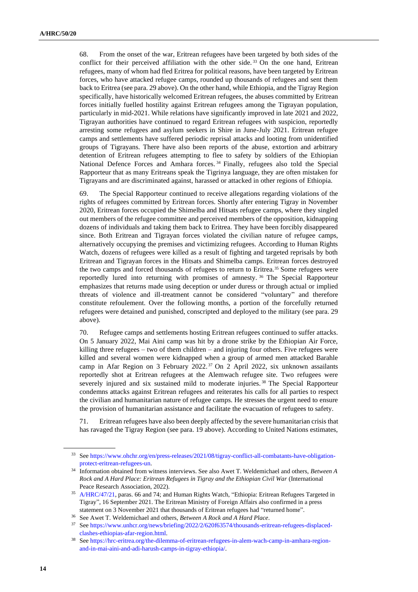68. From the onset of the war, Eritrean refugees have been targeted by both sides of the conflict for their perceived affiliation with the other side. <sup>33</sup> On the one hand, Eritrean refugees, many of whom had fled Eritrea for political reasons, have been targeted by Eritrean forces, who have attacked refugee camps, rounded up thousands of refugees and sent them back to Eritrea (see para. 29 above). On the other hand, while Ethiopia, and the Tigray Region specifically, have historically welcomed Eritrean refugees, the abuses committed by Eritrean forces initially fuelled hostility against Eritrean refugees among the Tigrayan population, particularly in mid-2021. While relations have significantly improved in late 2021 and 2022, Tigrayan authorities have continued to regard Eritrean refugees with suspicion, reportedly arresting some refugees and asylum seekers in Shire in June-July 2021. Eritrean refugee camps and settlements have suffered periodic reprisal attacks and looting from unidentified groups of Tigrayans. There have also been reports of the abuse, extortion and arbitrary detention of Eritrean refugees attempting to flee to safety by soldiers of the Ethiopian National Defence Forces and Amhara forces. <sup>34</sup> Finally, refugees also told the Special Rapporteur that as many Eritreans speak the Tigrinya language, they are often mistaken for Tigrayans and are discriminated against, harassed or attacked in other regions of Ethiopia.

69. The Special Rapporteur continued to receive allegations regarding violations of the rights of refugees committed by Eritrean forces. Shortly after entering Tigray in November 2020, Eritrean forces occupied the Shimelba and Hitsats refugee camps, where they singled out members of the refugee committee and perceived members of the opposition, kidnapping dozens of individuals and taking them back to Eritrea. They have been forcibly disappeared since. Both Eritrean and Tigrayan forces violated the civilian nature of refugee camps, alternatively occupying the premises and victimizing refugees. According to Human Rights Watch, dozens of refugees were killed as a result of fighting and targeted reprisals by both Eritrean and Tigrayan forces in the Hitsats and Shimelba camps. Eritrean forces destroyed the two camps and forced thousands of refugees to return to Eritrea.<sup>35</sup> Some refugees were reportedly lured into returning with promises of amnesty. <sup>36</sup> The Special Rapporteur emphasizes that returns made using deception or under duress or through actual or implied threats of violence and ill-treatment cannot be considered "voluntary" and therefore constitute refoulement. Over the following months, a portion of the forcefully returned refugees were detained and punished, conscripted and deployed to the military (see para. 29 above).

70. Refugee camps and settlements hosting Eritrean refugees continued to suffer attacks. On 5 January 2022, Mai Aini camp was hit by a drone strike by the Ethiopian Air Force, killing three refugees – two of them children – and injuring four others. Five refugees were killed and several women were kidnapped when a group of armed men attacked Barahle camp in Afar Region on 3 February 2022.<sup>37</sup> On 2 April 2022, six unknown assailants reportedly shot at Eritrean refugees at the Alemwach refugee site. Two refugees were severely injured and six sustained mild to moderate injuries.<sup>38</sup> The Special Rapporteur condemns attacks against Eritrean refugees and reiterates his calls for all parties to respect the civilian and humanitarian nature of refugee camps. He stresses the urgent need to ensure the provision of humanitarian assistance and facilitate the evacuation of refugees to safety.

71. Eritrean refugees have also been deeply affected by the severe humanitarian crisis that has ravaged the Tigray Region (see para. 19 above). According to United Nations estimates,

<sup>33</sup> Se[e https://www.ohchr.org/en/press-releases/2021/08/tigray-conflict-all-combatants-have-obligation](https://www.ohchr.org/en/press-releases/2021/08/tigray-conflict-all-combatants-have-obligation-protect-eritrean-refugees-un)[protect-eritrean-refugees-un.](https://www.ohchr.org/en/press-releases/2021/08/tigray-conflict-all-combatants-have-obligation-protect-eritrean-refugees-un)

<sup>34</sup> Information obtained from witness interviews. See also Awet T. Weldemichael and others, *Between A Rock and A Hard Place: Eritrean Refugees in Tigray and the Ethiopian Civil War* (International Peace Research Association, 2022).

<sup>&</sup>lt;sup>35</sup> [A/HRC/47/21,](http://undocs.org/en/A/HRC/47/21) paras. 66 and 74; and Human Rights Watch, "Ethiopia: Eritrean Refugees Targeted in Tigray", 16 September 2021. The Eritrean Ministry of Foreign Affairs also confirmed in a press statement on 3 November 2021 that thousands of Eritrean refugees had "returned home".

<sup>36</sup> See Awet T. Weldemichael and others, *Between A Rock and A Hard Place*.

<sup>37</sup> Se[e https://www.unhcr.org/news/briefing/2022/2/620f63574/thousands-eritrean-refugees-displaced](https://www.unhcr.org/news/briefing/2022/2/620f63574/thousands-eritrean-refugees-displaced-clashes-ethiopias-afar-region.html)[clashes-ethiopias-afar-region.html.](https://www.unhcr.org/news/briefing/2022/2/620f63574/thousands-eritrean-refugees-displaced-clashes-ethiopias-afar-region.html)

<sup>38</sup> Se[e https://hrc-eritrea.org/the-dilemma-of-eritrean-refugees-in-alem-wach-camp-in-amhara-region](https://hrc-eritrea.org/the-dilemma-of-eritrean-refugees-in-alem-wach-camp-in-amhara-region-and-in-mai-aini-and-adi-harush-camps-in-tigray-ethiopia/)[and-in-mai-aini-and-adi-harush-camps-in-tigray-ethiopia/.](https://hrc-eritrea.org/the-dilemma-of-eritrean-refugees-in-alem-wach-camp-in-amhara-region-and-in-mai-aini-and-adi-harush-camps-in-tigray-ethiopia/)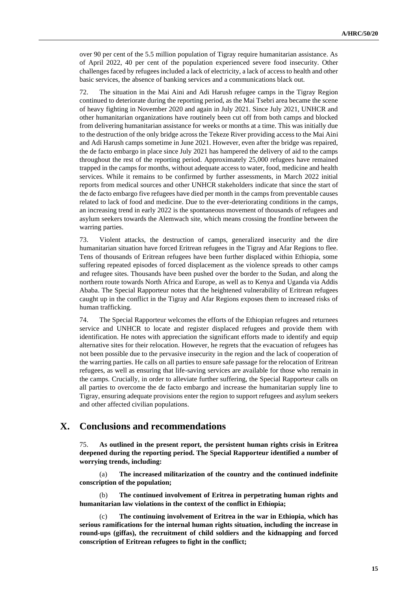over 90 per cent of the 5.5 million population of Tigray require humanitarian assistance. As of April 2022, 40 per cent of the population experienced severe food insecurity. Other challenges faced by refugees included a lack of electricity, a lack of access to health and other basic services, the absence of banking services and a communications black out.

72. The situation in the Mai Aini and Adi Harush refugee camps in the Tigray Region continued to deteriorate during the reporting period, as the Mai Tsebri area became the scene of heavy fighting in November 2020 and again in July 2021. Since July 2021, UNHCR and other humanitarian organizations have routinely been cut off from both camps and blocked from delivering humanitarian assistance for weeks or months at a time. This was initially due to the destruction of the only bridge across the Tekeze River providing access to the Mai Aini and Adi Harush camps sometime in June 2021. However, even after the bridge was repaired, the de facto embargo in place since July 2021 has hampered the delivery of aid to the camps throughout the rest of the reporting period. Approximately 25,000 refugees have remained trapped in the camps for months, without adequate access to water, food, medicine and health services. While it remains to be confirmed by further assessments, in March 2022 initial reports from medical sources and other UNHCR stakeholders indicate that since the start of the de facto embargo five refugees have died per month in the camps from preventable causes related to lack of food and medicine. Due to the ever-deteriorating conditions in the camps, an increasing trend in early 2022 is the spontaneous movement of thousands of refugees and asylum seekers towards the Alemwach site, which means crossing the frontline between the warring parties.

73. Violent attacks, the destruction of camps, generalized insecurity and the dire humanitarian situation have forced Eritrean refugees in the Tigray and Afar Regions to flee. Tens of thousands of Eritrean refugees have been further displaced within Ethiopia, some suffering repeated episodes of forced displacement as the violence spreads to other camps and refugee sites. Thousands have been pushed over the border to the Sudan, and along the northern route towards North Africa and Europe, as well as to Kenya and Uganda via Addis Ababa. The Special Rapporteur notes that the heightened vulnerability of Eritrean refugees caught up in the conflict in the Tigray and Afar Regions exposes them to increased risks of human trafficking.

74. The Special Rapporteur welcomes the efforts of the Ethiopian refugees and returnees service and UNHCR to locate and register displaced refugees and provide them with identification. He notes with appreciation the significant efforts made to identify and equip alternative sites for their relocation. However, he regrets that the evacuation of refugees has not been possible due to the pervasive insecurity in the region and the lack of cooperation of the warring parties. He calls on all parties to ensure safe passage for the relocation of Eritrean refugees, as well as ensuring that life-saving services are available for those who remain in the camps. Crucially, in order to alleviate further suffering, the Special Rapporteur calls on all parties to overcome the de facto embargo and increase the humanitarian supply line to Tigray, ensuring adequate provisions enter the region to support refugees and asylum seekers and other affected civilian populations.

### **X. Conclusions and recommendations**

75. **As outlined in the present report, the persistent human rights crisis in Eritrea deepened during the reporting period. The Special Rapporteur identified a number of worrying trends, including:** 

(a) **The increased militarization of the country and the continued indefinite conscription of the population;**

(b) **The continued involvement of Eritrea in perpetrating human rights and humanitarian law violations in the context of the conflict in Ethiopia;** 

The continuing involvement of Eritrea in the war in Ethiopia, which has **serious ramifications for the internal human rights situation, including the increase in round-ups (giffas), the recruitment of child soldiers and the kidnapping and forced conscription of Eritrean refugees to fight in the conflict;**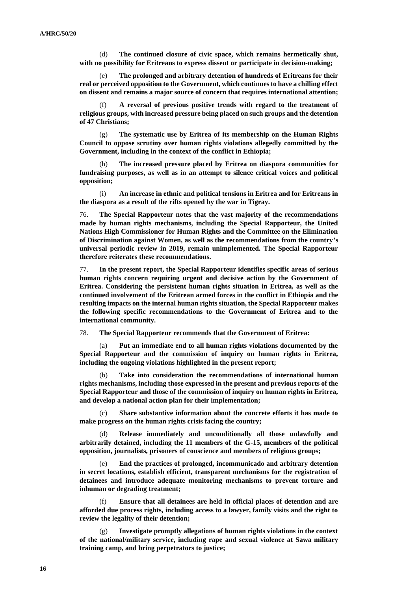(d) **The continued closure of civic space, which remains hermetically shut, with no possibility for Eritreans to express dissent or participate in decision-making;**

(e) **The prolonged and arbitrary detention of hundreds of Eritreans for their real or perceived opposition to the Government, which continues to have a chilling effect on dissent and remains a major source of concern that requires international attention;**

(f) **A reversal of previous positive trends with regard to the treatment of religious groups, with increased pressure being placed on such groups and the detention of 47 Christians;**

(g) **The systematic use by Eritrea of its membership on the Human Rights Council to oppose scrutiny over human rights violations allegedly committed by the Government, including in the context of the conflict in Ethiopia;**

(h) **The increased pressure placed by Eritrea on diaspora communities for fundraising purposes, as well as in an attempt to silence critical voices and political opposition;**

(i) **An increase in ethnic and political tensions in Eritrea and for Eritreans in the diaspora as a result of the rifts opened by the war in Tigray.** 

76. **The Special Rapporteur notes that the vast majority of the recommendations made by human rights mechanisms, including the Special Rapporteur, the United Nations High Commissioner for Human Rights and the Committee on the Elimination of Discrimination against Women, as well as the recommendations from the country's universal periodic review in 2019, remain unimplemented. The Special Rapporteur therefore reiterates these recommendations.**

77. **In the present report, the Special Rapporteur identifies specific areas of serious human rights concern requiring urgent and decisive action by the Government of Eritrea. Considering the persistent human rights situation in Eritrea, as well as the continued involvement of the Eritrean armed forces in the conflict in Ethiopia and the resulting impacts on the internal human rights situation, the Special Rapporteur makes the following specific recommendations to the Government of Eritrea and to the international community.**

78. **The Special Rapporteur recommends that the Government of Eritrea:**

(a) **Put an immediate end to all human rights violations documented by the Special Rapporteur and the commission of inquiry on human rights in Eritrea, including the ongoing violations highlighted in the present report;**

(b) **Take into consideration the recommendations of international human rights mechanisms, including those expressed in the present and previous reports of the Special Rapporteur and those of the commission of inquiry on human rights in Eritrea, and develop a national action plan for their implementation;** 

(c) **Share substantive information about the concrete efforts it has made to make progress on the human rights crisis facing the country;** 

(d) **Release immediately and unconditionally all those unlawfully and arbitrarily detained, including the 11 members of the G-15, members of the political opposition, journalists, prisoners of conscience and members of religious groups;** 

(e) **End the practices of prolonged, incommunicado and arbitrary detention in secret locations, establish efficient, transparent mechanisms for the registration of detainees and introduce adequate monitoring mechanisms to prevent torture and inhuman or degrading treatment;**

(f) **Ensure that all detainees are held in official places of detention and are afforded due process rights, including access to a lawyer, family visits and the right to review the legality of their detention;** 

(g) **Investigate promptly allegations of human rights violations in the context of the national/military service, including rape and sexual violence at Sawa military training camp, and bring perpetrators to justice;**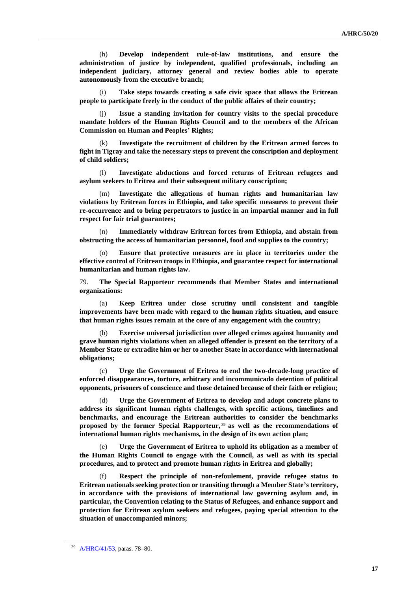(h) **Develop independent rule-of-law institutions, and ensure the administration of justice by independent, qualified professionals, including an independent judiciary, attorney general and review bodies able to operate autonomously from the executive branch;**

Take steps towards creating a safe civic space that allows the Eritrean **people to participate freely in the conduct of the public affairs of their country;**

(j) **Issue a standing invitation for country visits to the special procedure mandate holders of the Human Rights Council and to the members of the African Commission on Human and Peoples' Rights;**

(k) **Investigate the recruitment of children by the Eritrean armed forces to fight in Tigray and take the necessary steps to prevent the conscription and deployment of child soldiers;**

(l) **Investigate abductions and forced returns of Eritrean refugees and asylum seekers to Eritrea and their subsequent military conscription;** 

(m) **Investigate the allegations of human rights and humanitarian law violations by Eritrean forces in Ethiopia, and take specific measures to prevent their re-occurrence and to bring perpetrators to justice in an impartial manner and in full respect for fair trial guarantees;** 

(n) **Immediately withdraw Eritrean forces from Ethiopia, and abstain from obstructing the access of humanitarian personnel, food and supplies to the country;**

(o) **Ensure that protective measures are in place in territories under the effective control of Eritrean troops in Ethiopia, and guarantee respect for international humanitarian and human rights law.** 

79. **The Special Rapporteur recommends that Member States and international organizations:**

(a) **Keep Eritrea under close scrutiny until consistent and tangible improvements have been made with regard to the human rights situation, and ensure that human rights issues remain at the core of any engagement with the country;**

(b) **Exercise universal jurisdiction over alleged crimes against humanity and grave human rights violations when an alleged offender is present on the territory of a Member State or extradite him or her to another State in accordance with international obligations;**

(c) **Urge the Government of Eritrea to end the two-decade-long practice of enforced disappearances, torture, arbitrary and incommunicado detention of political opponents, prisoners of conscience and those detained because of their faith or religion;** 

(d) **Urge the Government of Eritrea to develop and adopt concrete plans to address its significant human rights challenges, with specific actions, timelines and benchmarks, and encourage the Eritrean authorities to consider the benchmarks proposed by the former Special Rapporteur,** <sup>39</sup> **as well as the recommendations of international human rights mechanisms, in the design of its own action plan;**

(e) **Urge the Government of Eritrea to uphold its obligation as a member of the Human Rights Council to engage with the Council, as well as with its special procedures, and to protect and promote human rights in Eritrea and globally;**

(f) **Respect the principle of non-refoulement, provide refugee status to Eritrean nationals seeking protection or transiting through a Member State's territory, in accordance with the provisions of international law governing asylum and, in particular, the Convention relating to the Status of Refugees, and enhance support and protection for Eritrean asylum seekers and refugees, paying special attention to the situation of unaccompanied minors;**

<sup>39</sup> [A/HRC/41/53,](http://undocs.org/en/A/HRC/41/53) paras. 78–80.